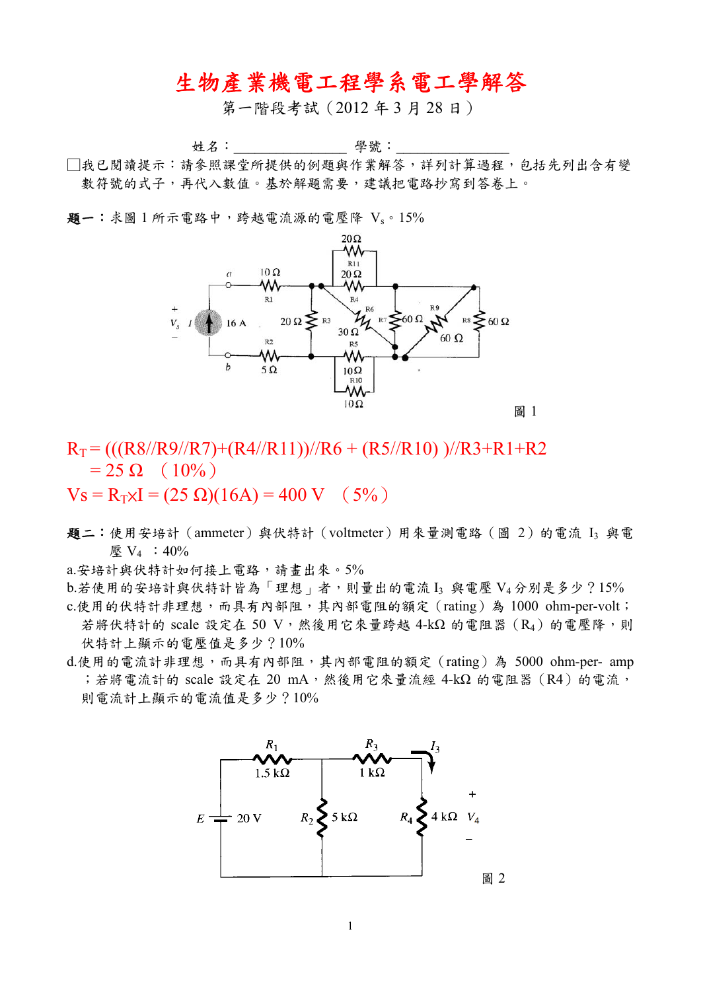## 生物產業機電工程學系電工學解答

第一階段考試(2012 年 3 月 28 日)

姓名:\_\_\_\_\_\_\_\_\_\_\_\_\_\_\_\_ 學號:\_\_\_\_\_\_\_\_\_\_\_\_\_\_\_\_

□我已閱讀提示:請參照課堂所提供的例題與作業解答,詳列計算過程,包括先列出含有變 數符號的式子,再代入數值。基於解題需要,建議把電路抄寫到答卷上。

題一:求圖 1 所示電路中,跨越電流源的電壓降 Vs。15%



 $R_T = \left( \frac{(R8}{R9}{R7} + \frac{R4}{R11}) \right) / R6 + \frac{R5}{R10} \right)$   $\frac{1}{R3} + R1 + R2$  $= 25 \Omega (10\%)$ 

 $V_s = R_T xI = (25 \Omega)(16A) = 400 V$  (5%)

題二:使用安培計(ammeter)與伏特計(voltmeter)用來量測電路(圖 2)的電流 I3 與電 **壓 V<sub>4</sub> : 40%** 

a.安培計與伏特計如何接上電路,請畫出來。5%

- $b.$ 若使用的安培計與伏特計皆為「理想」者,則量出的電流 I3 與電壓  $V_4$ 分別是多少?15%
- c.使用的伏特計非理想,而具有內部阻,其內部電阻的額定(rating)為 1000 ohm-per-volt; 若將伏特計的 scale 設定在 50 V,然後用它來量跨越 4-kΩ 的電阻器  $(R_4)$  的電壓降,則 伏特計上顯示的電壓值是多少?10%
- d.使用的電流計非理想,而具有內部阻,其內部電阻的額定(rating)為 5000 ohm-per- amp ;若將電流計的 scale 設定在 20 mA,然後用它來量流經 4-kΩ 的電阻器 (R4)的電流, 則電流計上顯示的電流值是多少?10%

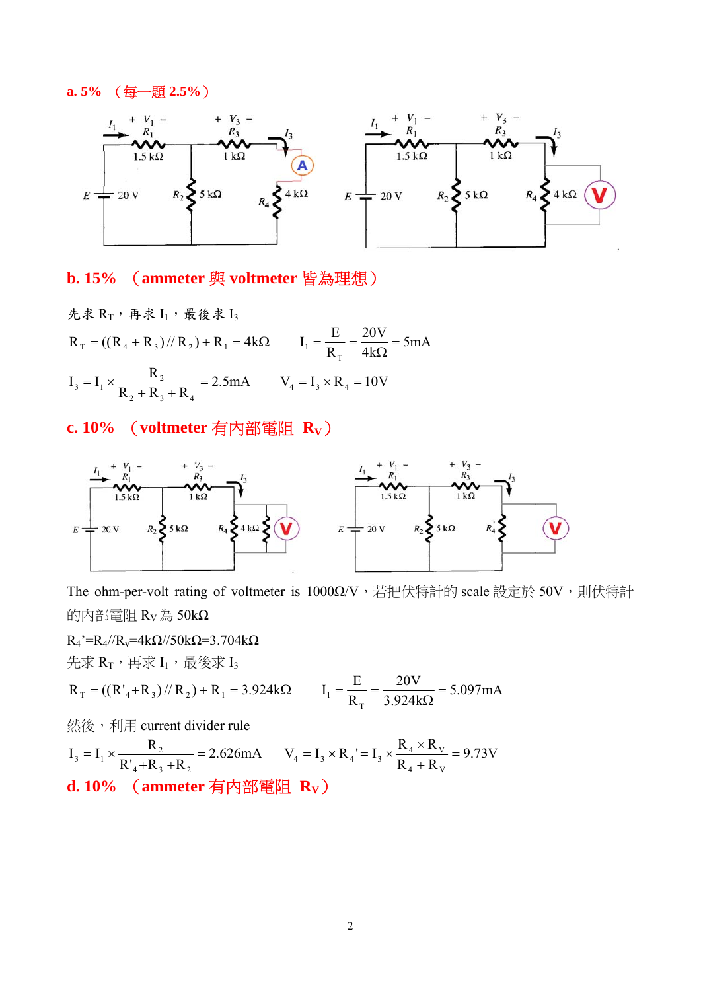## **a. 5%** (每一題 **2.5%**)



## **b. 15%** (**ammeter** 與 **voltmeter** 皆為理想)

先求  $R_T$ ,再求  $I_1$ ,最後求  $I_3$ 5mA 4k 20V R  $R_T = ((R_4 + R_3) // R_2) + R_1 = 4k\Omega$   $I_1 = \frac{E}{R_1}$  $T_{\text{T}} = ((R_4 + R_3) / R_2) + R_1 = 4k\Omega$   $I_1 = \frac{E}{R_{\text{T}}} = \frac{20 \text{ V}}{4k\Omega} = 5 \text{ mA}$ 2.5mA  $V_4 = I_3 \times R_4 = 10V$  $I_3 = I_1 \times \frac{R_2}{R_2 + R_3 + R_4} = 2.5 \text{mA}$   $V_4 = I_3 \times R_4$  $2 + N_3 + N_4$  $V_3 = I_1 \times \frac{R_2}{R_2 + R_3 + R_4} = 2.5 \text{ mA}$   $V_4 = I_3 \times R_4 = 10V$ 

## **c. 10%** (**voltmeter** 有內部電阻 **RV**)



The ohm-per-volt rating of voltmeter is 1000Ω/V,若把伏特計的 scale 設定於 50V,則伏特計 的內部電阻 RV為 50kΩ

 $R_4$ '= $R_4$ // $R_v$ =4k $\Omega$ //50k $\Omega$ =3.704k $\Omega$ 先求 $R_T$ ,再求 $I_1$ ,最後求 $I_3$ 5.097mA 3.924k 20V R  $R_T = ((R'_4 + R_3) // R_2) + R_1 = 3.924 k\Omega$   $I_1 = \frac{E}{R_1}$  $T_{\text{T}} = ((R'_{4} + R_{3}) / R_{2}) + R_{1} = 3.924 \text{k}\Omega$   $I_{1} = \frac{E}{R_{\text{T}}} = \frac{20 \text{ V}}{3.924 \text{k}\Omega} = 5.097 \text{ mA}$ 

**然後,利用 current divider rule** 

2.626mA  $R'_{4}+R_{3}+R$  $I_3 = I_1 \times \frac{R}{R}$  $4 + 13 + 12$  $V_3 = I_1 \times \frac{R_2}{R_4 + R_3 + R_2} = 2.626 \text{ mA}$   $V_4 = I_3 \times R_4 = I_3 \times \frac{R_4 \times R_V}{R_4 + R_V} = 9.73 \text{ V}$  $V_4 = I_3 \times R_4 = I_3 \times \frac{R_4 \times R_3}{R_3}$  $4 + W_V$  $X_4 = I_3 \times R_4 = I_3 \times \frac{R_4 \times R_V}{R_4 + R_V}$ **d. 10%** (**ammeter** 有內部電阻 **RV**)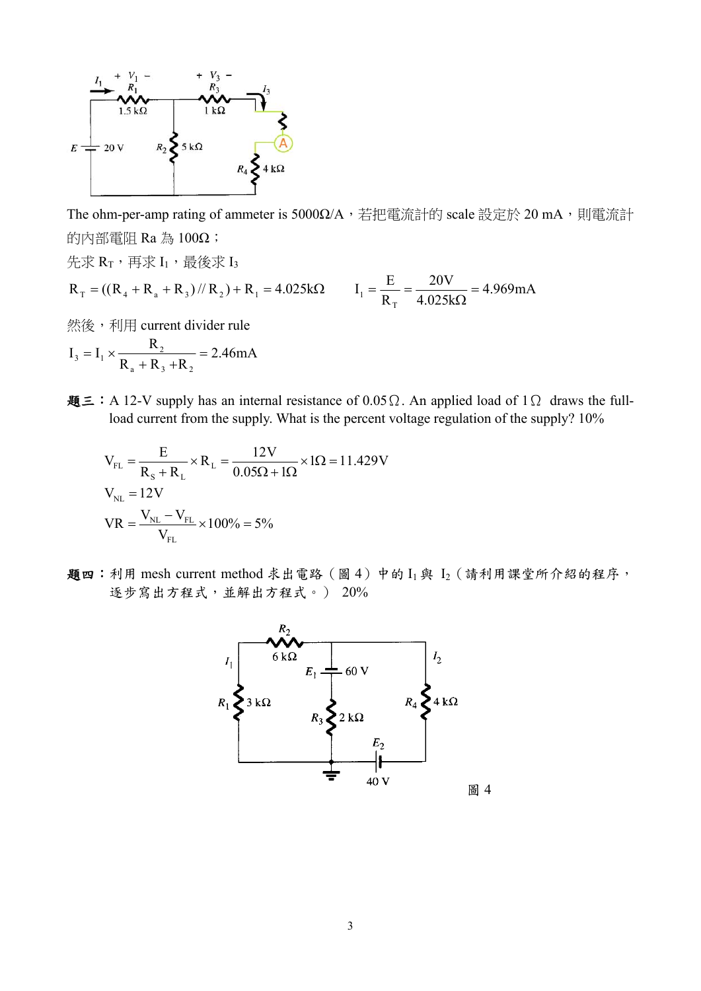

The ohm-per-amp rating of ammeter is 5000Ω/A, 若把電流計的 scale 設定於 20 mA,則電流計 的內部電阻 Ra 為 100Ω;

先求 $R_T$ ,再求 $I_1$ ,最後求 $I_3$ 4.969mA 4.025k 20V R  $R_T = ((R_4 + R_3 + R_3) / (R_2) + R_1 = 4.025k\Omega$   $I_1 = \frac{E}{R_1}$  $T_{\text{T}} = ((R_4 + R_4 + R_3) / R_2) + R_1 = 4.025 \text{k}\Omega$   $I_1 = \frac{E}{R_{\text{T}}} = \frac{20 \text{ V}}{4.025 \text{k}\Omega} = 4.969 \text{ mA}$ **然後,利用 current divider rule** 

2.46mA  $R_{a} + R_{3} + R$  $I_3 = I_1 \times \frac{R}{R}$  $a$   $\top$   $\mathbf{R}_3$   $\top$  $\mathbf{R}_2$  $_3 = I_1 \times \frac{R_2}{R_3 + R_3 + R_2} =$ 

題三:A 12-V supply has an internal resistance of 0.05Ω. An applied load of 1Ω draws the fullload current from the supply. What is the percent voltage regulation of the supply? 10%

$$
V_{FL} = \frac{E}{R_s + R_L} \times R_L = \frac{12V}{0.05\Omega + 1\Omega} \times 1\Omega = 11.429V
$$
  
\n
$$
V_{NL} = 12V
$$
  
\n
$$
VR = \frac{V_{NL} - V_{FL}}{V_{FL}} \times 100\% = 5\%
$$

題四:利用 mesh current method 求出電路 (圖4)中的  $I_1$ 與  $I_2$  (請利用課堂所介紹的程序, 逐步寫出方程式,並解出方程式。) 20%

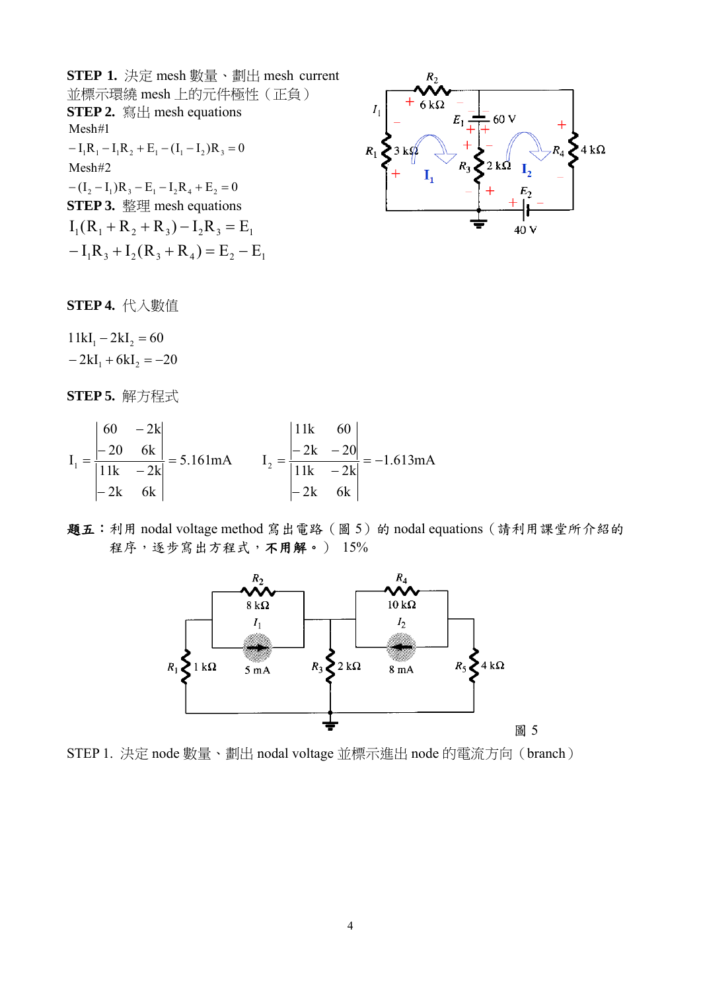**STEP 1.** 決定 mesh 數量、劃出 mesh current 並標示環繞 mesh 上的元件極性(正負) **STEP 2.** 寫出 mesh equations  $-(I_2 - I_1)R_3 - E_1 - I_2R_4 + E_2 = 0$ Mesh#2  $-I_1R_1-I_1R_2+E_1-(I_1-I_2)R_3=0$ Mesh#1 **STEP 3.** 整理 mesh equations  $-I_1R_3 + I_2(R_3 + R_4) = E_2 - E_1$  $I_1(R_1 + R_2 + R_3) - I_2R_3 = E_1$ 



**STEP 4.** 代入數值

 $-2kI_1 + 6kI_2 = -20$  $11kI_1 - 2kI_2 = 60$ 

**STEP 5.** 解方程式

$$
I_1 = \frac{\begin{vmatrix} 60 & -2k \\ -20 & 6k \end{vmatrix}}{\begin{vmatrix} 11k & -2k \\ -2k & 6k \end{vmatrix}} = 5.161 \text{ mA} \qquad I_2 = \frac{\begin{vmatrix} 11k & 60 \\ -2k & -20 \end{vmatrix}}{\begin{vmatrix} 11k & -2k \\ -2k & 6k \end{vmatrix}} = -1.613 \text{ mA}
$$

題五:利用 nodal voltage method 寫出電路(圖 5)的 nodal equations(請利用課堂所介紹的 程序,逐步寫出方程式,不用解。) 15%



STEP 1. 決定 node 數量、劃出 nodal voltage 並標示進出 node 的電流方向(branch)